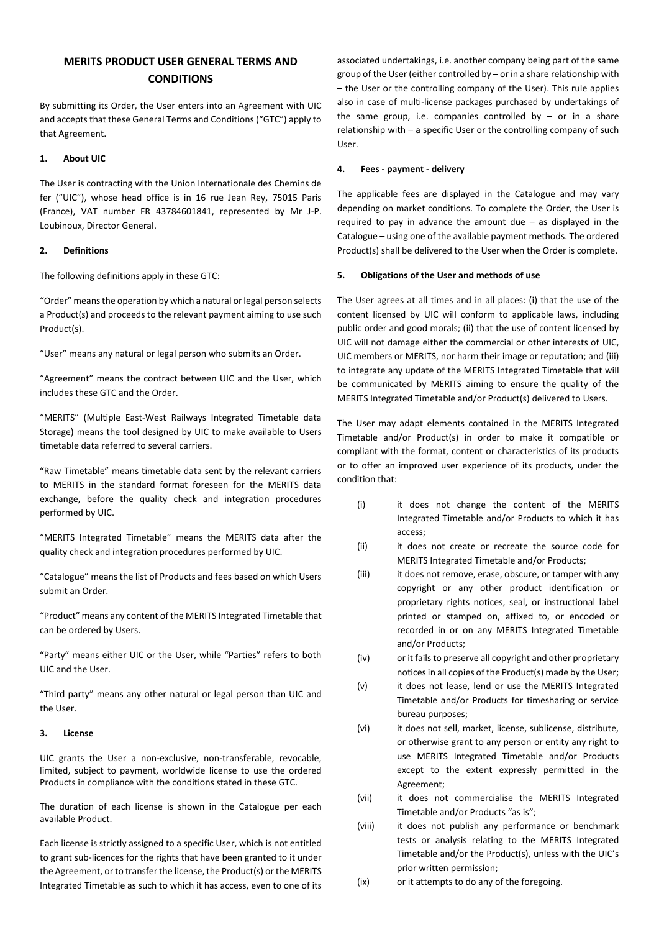# **MERITS PRODUCT USER GENERAL TERMS AND CONDITIONS**

By submitting its Order, the User enters into an Agreement with UIC and accepts that these General Terms and Conditions ("GTC") apply to that Agreement.

# **1. About UIC**

The User is contracting with the Union Internationale des Chemins de fer ("UIC"), whose head office is in 16 rue Jean Rey, 75015 Paris (France), VAT number FR 43784601841, represented by Mr J-P. Loubinoux, Director General.

## **2. Definitions**

The following definitions apply in these GTC:

"Order" means the operation by which a natural or legal person selects a Product(s) and proceeds to the relevant payment aiming to use such Product(s).

"User" means any natural or legal person who submits an Order.

"Agreement" means the contract between UIC and the User, which includes these GTC and the Order.

"MERITS" (Multiple East-West Railways Integrated Timetable data Storage) means the tool designed by UIC to make available to Users timetable data referred to several carriers.

"Raw Timetable" means timetable data sent by the relevant carriers to MERITS in the standard format foreseen for the MERITS data exchange, before the quality check and integration procedures performed by UIC.

"MERITS Integrated Timetable" means the MERITS data after the quality check and integration procedures performed by UIC.

"Catalogue" means the list of Products and fees based on which Users submit an Order.

"Product" means any content of the MERITS Integrated Timetable that can be ordered by Users.

"Party" means either UIC or the User, while "Parties" refers to both UIC and the User.

"Third party" means any other natural or legal person than UIC and the User.

## **3. License**

UIC grants the User a non-exclusive, non-transferable, revocable, limited, subject to payment, worldwide license to use the ordered Products in compliance with the conditions stated in these GTC.

The duration of each license is shown in the Catalogue per each available Product.

Each license is strictly assigned to a specific User, which is not entitled to grant sub-licences for the rights that have been granted to it under the Agreement, or to transfer the license, the Product(s) or the MERITS Integrated Timetable as such to which it has access, even to one of its

associated undertakings, i.e. another company being part of the same group of the User (either controlled by – or in a share relationship with – the User or the controlling company of the User). This rule applies also in case of multi-license packages purchased by undertakings of the same group, i.e. companies controlled by  $-$  or in a share relationship with – a specific User or the controlling company of such User.

# **4. Fees - payment - delivery**

The applicable fees are displayed in the Catalogue and may vary depending on market conditions. To complete the Order, the User is required to pay in advance the amount due  $-$  as displayed in the Catalogue – using one of the available payment methods. The ordered Product(s) shall be delivered to the User when the Order is complete.

## **5. Obligations of the User and methods of use**

The User agrees at all times and in all places: (i) that the use of the content licensed by UIC will conform to applicable laws, including public order and good morals; (ii) that the use of content licensed by UIC will not damage either the commercial or other interests of UIC, UIC members or MERITS, nor harm their image or reputation; and (iii) to integrate any update of the MERITS Integrated Timetable that will be communicated by MERITS aiming to ensure the quality of the MERITS Integrated Timetable and/or Product(s) delivered to Users.

The User may adapt elements contained in the MERITS Integrated Timetable and/or Product(s) in order to make it compatible or compliant with the format, content or characteristics of its products or to offer an improved user experience of its products, under the condition that:

- (i) it does not change the content of the MERITS Integrated Timetable and/or Products to which it has access;
- (ii) it does not create or recreate the source code for MERITS Integrated Timetable and/or Products;
- (iii) it does not remove, erase, obscure, or tamper with any copyright or any other product identification or proprietary rights notices, seal, or instructional label printed or stamped on, affixed to, or encoded or recorded in or on any MERITS Integrated Timetable and/or Products;
- (iv) or it failsto preserve all copyright and other proprietary notices in all copies of the Product(s) made by the User;
- (v) it does not lease, lend or use the MERITS Integrated Timetable and/or Products for timesharing or service bureau purposes;
- (vi) it does not sell, market, license, sublicense, distribute, or otherwise grant to any person or entity any right to use MERITS Integrated Timetable and/or Products except to the extent expressly permitted in the Agreement;
- (vii) it does not commercialise the MERITS Integrated Timetable and/or Products "as is";
- (viii) it does not publish any performance or benchmark tests or analysis relating to the MERITS Integrated Timetable and/or the Product(s), unless with the UIC's prior written permission;
- (ix) or it attempts to do any of the foregoing.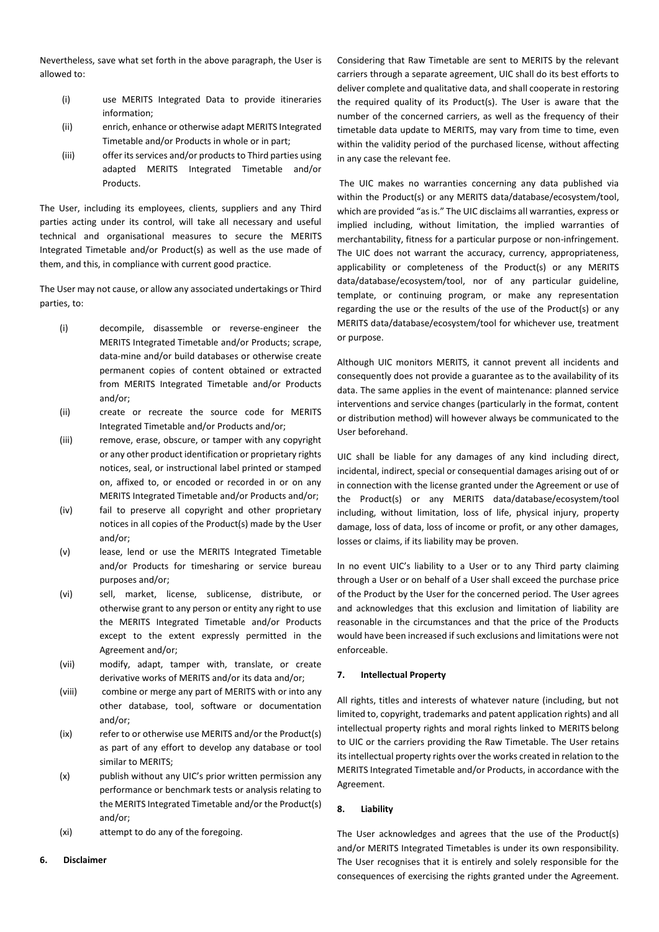Nevertheless, save what set forth in the above paragraph, the User is allowed to:

- (i) use MERITS Integrated Data to provide itineraries information;
- (ii) enrich, enhance or otherwise adapt MERITS Integrated Timetable and/or Products in whole or in part;
- (iii) offer its services and/or products to Third parties using adapted MERITS Integrated Timetable and/or Products.

The User, including its employees, clients, suppliers and any Third parties acting under its control, will take all necessary and useful technical and organisational measures to secure the MERITS Integrated Timetable and/or Product(s) as well as the use made of them, and this, in compliance with current good practice.

The User may not cause, or allow any associated undertakings or Third parties, to:

- (i) decompile, disassemble or reverse-engineer the MERITS Integrated Timetable and/or Products; scrape, data-mine and/or build databases or otherwise create permanent copies of content obtained or extracted from MERITS Integrated Timetable and/or Products and/or;
- (ii) create or recreate the source code for MERITS Integrated Timetable and/or Products and/or;
- (iii) remove, erase, obscure, or tamper with any copyright or any other product identification or proprietary rights notices, seal, or instructional label printed or stamped on, affixed to, or encoded or recorded in or on any MERITS Integrated Timetable and/or Products and/or;
- (iv) fail to preserve all copyright and other proprietary notices in all copies of the Product(s) made by the User and/or;
- (v) lease, lend or use the MERITS Integrated Timetable and/or Products for timesharing or service bureau purposes and/or;
- (vi) sell, market, license, sublicense, distribute, or otherwise grant to any person or entity any right to use the MERITS Integrated Timetable and/or Products except to the extent expressly permitted in the Agreement and/or;
- (vii) modify, adapt, tamper with, translate, or create derivative works of MERITS and/or its data and/or;
- (viii) combine or merge any part of MERITS with or into any other database, tool, software or documentation and/or;
- (ix) refer to or otherwise use MERITS and/or the Product(s) as part of any effort to develop any database or tool similar to MERITS;
- (x) publish without any UIC's prior written permission any performance or benchmark tests or analysis relating to the MERITS Integrated Timetable and/or the Product(s) and/or;
- (xi) attempt to do any of the foregoing.
- **6. Disclaimer**

Considering that Raw Timetable are sent to MERITS by the relevant carriers through a separate agreement, UIC shall do its best efforts to deliver complete and qualitative data, and shall cooperate in restoring the required quality of its Product(s). The User is aware that the number of the concerned carriers, as well as the frequency of their timetable data update to MERITS, may vary from time to time, even within the validity period of the purchased license, without affecting in any case the relevant fee.

The UIC makes no warranties concerning any data published via within the Product(s) or any MERITS data/database/ecosystem/tool, which are provided "as is." The UIC disclaims all warranties, express or implied including, without limitation, the implied warranties of merchantability, fitness for a particular purpose or non-infringement. The UIC does not warrant the accuracy, currency, appropriateness, applicability or completeness of the Product(s) or any MERITS data/database/ecosystem/tool, nor of any particular guideline, template, or continuing program, or make any representation regarding the use or the results of the use of the Product(s) or any MERITS data/database/ecosystem/tool for whichever use, treatment or purpose.

Although UIC monitors MERITS, it cannot prevent all incidents and consequently does not provide a guarantee as to the availability of its data. The same applies in the event of maintenance: planned service interventions and service changes (particularly in the format, content or distribution method) will however always be communicated to the User beforehand.

UIC shall be liable for any damages of any kind including direct, incidental, indirect, special or consequential damages arising out of or in connection with the license granted under the Agreement or use of the Product(s) or any MERITS data/database/ecosystem/tool including, without limitation, loss of life, physical injury, property damage, loss of data, loss of income or profit, or any other damages, losses or claims, if its liability may be proven.

In no event UIC's liability to a User or to any Third party claiming through a User or on behalf of a User shall exceed the purchase price of the Product by the User for the concerned period. The User agrees and acknowledges that this exclusion and limitation of liability are reasonable in the circumstances and that the price of the Products would have been increased if such exclusions and limitations were not enforceable.

## **7. Intellectual Property**

All rights, titles and interests of whatever nature (including, but not limited to, copyright, trademarks and patent application rights) and all intellectual property rights and moral rights linked to MERITS belong to UIC or the carriers providing the Raw Timetable. The User retains its intellectual property rights over the works created in relation to the MERITS Integrated Timetable and/or Products, in accordance with the Agreement.

## **8. Liability**

The User acknowledges and agrees that the use of the Product(s) and/or MERITS Integrated Timetables is under its own responsibility. The User recognises that it is entirely and solely responsible for the consequences of exercising the rights granted under the Agreement.